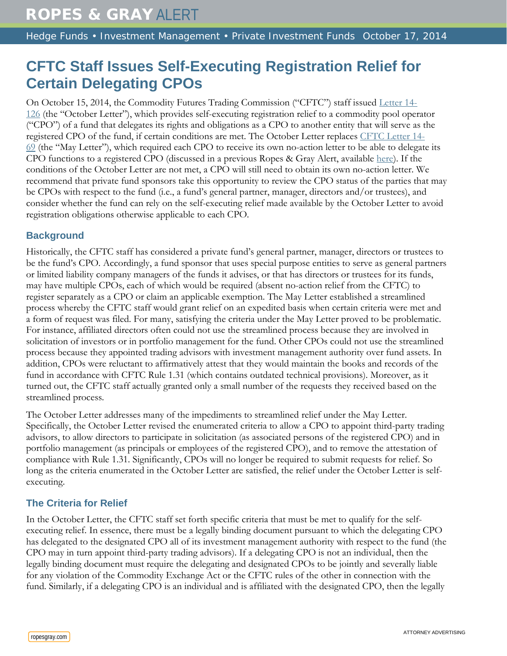## **CFTC Staff Issues Self-Executing Registration Relief for Certain Delegating CPOs**

On October 15, 2014, the Commodity Futures Trading Commission ("CFTC") staff issued [Letter 14-](http://www.cftc.gov/ucm/groups/public/@lrlettergeneral/documents/letter/14-126.pdf) [126](http://www.cftc.gov/ucm/groups/public/@lrlettergeneral/documents/letter/14-126.pdf) (the "October Letter"), which provides self-executing registration relief to a commodity pool operator ("CPO") of a fund that delegates its rights and obligations as a CPO to another entity that will serve as the registered CPO of the fund, if certain conditions are met. The October Letter replaces [CFTC Letter 14-](http://www.cftc.gov/ucm/groups/public/@lrlettergeneral/documents/letter/14-69.pdf) [69](http://www.cftc.gov/ucm/groups/public/@lrlettergeneral/documents/letter/14-69.pdf) (the "May Letter"), which required each CPO to receive its own no-action letter to be able to delegate its CPO functions to a registered CPO (discussed in a previous Ropes & Gray Alert, available [here\)](http://www.ropesgray.com/news-and-insights/Insights/2014/May/CFTC-Staff-Updates-Requirements-for-the-Delegation-of-CPO-Functions.aspx). If the conditions of the October Letter are not met, a CPO will still need to obtain its own no-action letter. We recommend that private fund sponsors take this opportunity to review the CPO status of the parties that may be CPOs with respect to the fund (i.e., a fund's general partner, manager, directors and/or trustees), and consider whether the fund can rely on the self-executing relief made available by the October Letter to avoid registration obligations otherwise applicable to each CPO.

## **Background**

Historically, the CFTC staff has considered a private fund's general partner, manager, directors or trustees to be the fund's CPO. Accordingly, a fund sponsor that uses special purpose entities to serve as general partners or limited liability company managers of the funds it advises, or that has directors or trustees for its funds, may have multiple CPOs, each of which would be required (absent no-action relief from the CFTC) to register separately as a CPO or claim an applicable exemption. The May Letter established a streamlined process whereby the CFTC staff would grant relief on an expedited basis when certain criteria were met and a form of request was filed. For many, satisfying the criteria under the May Letter proved to be problematic. For instance, affiliated directors often could not use the streamlined process because they are involved in solicitation of investors or in portfolio management for the fund. Other CPOs could not use the streamlined process because they appointed trading advisors with investment management authority over fund assets. In addition, CPOs were reluctant to affirmatively attest that they would maintain the books and records of the fund in accordance with CFTC Rule 1.31 (which contains outdated technical provisions). Moreover, as it turned out, the CFTC staff actually granted only a small number of the requests they received based on the streamlined process.

The October Letter addresses many of the impediments to streamlined relief under the May Letter. Specifically, the October Letter revised the enumerated criteria to allow a CPO to appoint third-party trading advisors, to allow directors to participate in solicitation (as associated persons of the registered CPO) and in portfolio management (as principals or employees of the registered CPO), and to remove the attestation of compliance with Rule 1.31. Significantly, CPOs will no longer be required to submit requests for relief. So long as the criteria enumerated in the October Letter are satisfied, the relief under the October Letter is selfexecuting.

## **The Criteria for Relief**

In the October Letter, the CFTC staff set forth specific criteria that must be met to qualify for the selfexecuting relief. In essence, there must be a legally binding document pursuant to which the delegating CPO has delegated to the designated CPO all of its investment management authority with respect to the fund (the CPO may in turn appoint third-party trading advisors). If a delegating CPO is not an individual, then the legally binding document must require the delegating and designated CPOs to be jointly and severally liable for any violation of the Commodity Exchange Act or the CFTC rules of the other in connection with the fund. Similarly, if a delegating CPO is an individual and is affiliated with the designated CPO, then the legally